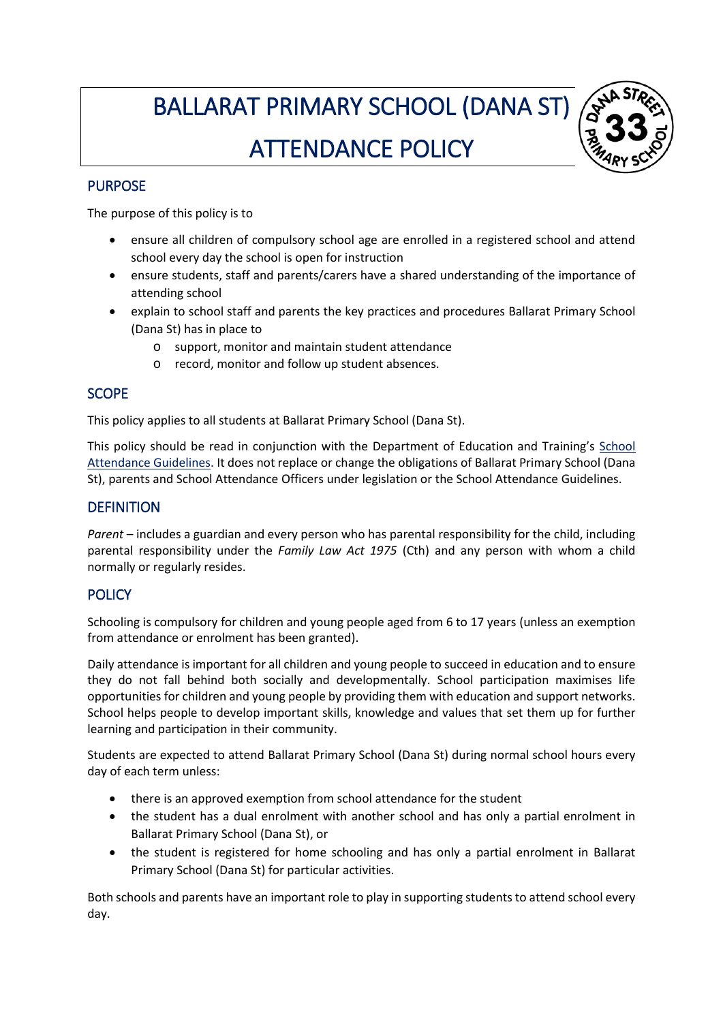# BALLARAT PRIMARY SCHOOL (DANA ST) ATTENDANCE POLICY



## PURPOSE

The purpose of this policy is to

- ensure all children of compulsory school age are enrolled in a registered school and attend school every day the school is open for instruction
- ensure students, staff and parents/carers have a shared understanding of the importance of attending school
- explain to school staff and parents the key practices and procedures Ballarat Primary School (Dana St) has in place to
	- o support, monitor and maintain student attendance
	- o record, monitor and follow up student absences.

# SCOPE

This policy applies to all students at Ballarat Primary School (Dana St).

This policy should be read in conjunction with the Department of Education and Training's [School](http://www.education.vic.gov.au/school/teachers/studentmanagement/Pages/attendance.aspx)  [Attendance Guidelines.](http://www.education.vic.gov.au/school/teachers/studentmanagement/Pages/attendance.aspx) It does not replace or change the obligations of Ballarat Primary School (Dana St), parents and School Attendance Officers under legislation or the School Attendance Guidelines.

## **DEFINITION**

*Parent* – includes a guardian and every person who has parental responsibility for the child, including parental responsibility under the *Family Law Act 1975* (Cth) and any person with whom a child normally or regularly resides.

# **POLICY**

Schooling is compulsory for children and young people aged from 6 to 17 years (unless an exemption from attendance or enrolment has been granted).

Daily attendance is important for all children and young people to succeed in education and to ensure they do not fall behind both socially and developmentally. School participation maximises life opportunities for children and young people by providing them with education and support networks. School helps people to develop important skills, knowledge and values that set them up for further learning and participation in their community.

Students are expected to attend Ballarat Primary School (Dana St) during normal school hours every day of each term unless:

- there is an approved exemption from school attendance for the student
- the student has a dual enrolment with another school and has only a partial enrolment in Ballarat Primary School (Dana St), or
- the student is registered for home schooling and has only a partial enrolment in Ballarat Primary School (Dana St) for particular activities.

Both schools and parents have an important role to play in supporting students to attend school every day.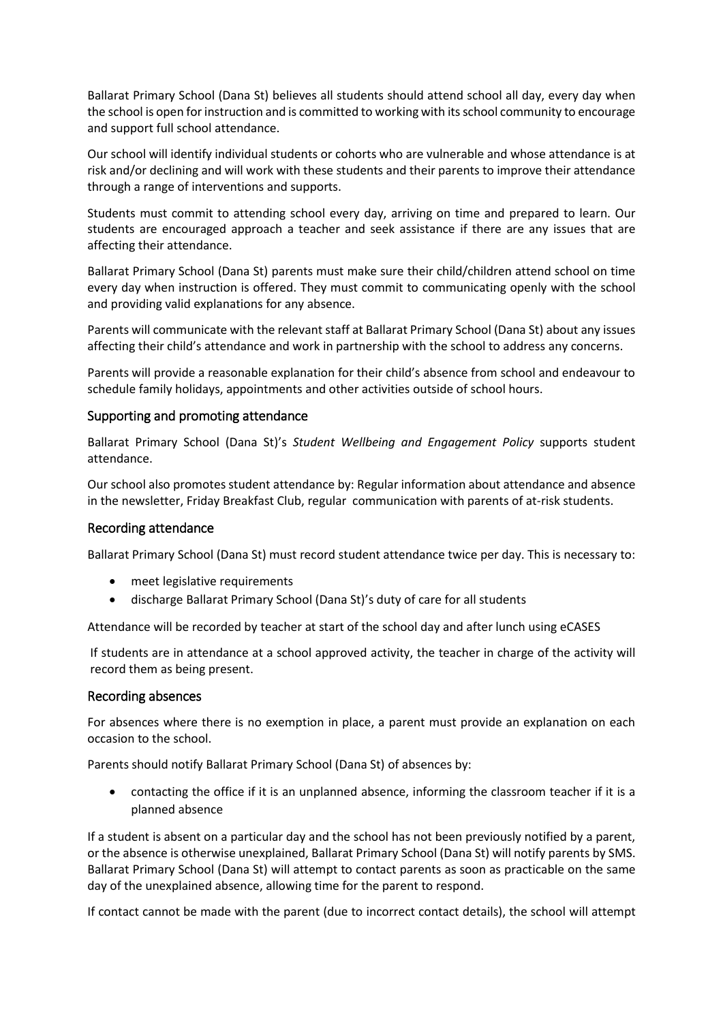Ballarat Primary School (Dana St) believes all students should attend school all day, every day when the school is open for instruction and is committed to working with its school community to encourage and support full school attendance.

Our school will identify individual students or cohorts who are vulnerable and whose attendance is at risk and/or declining and will work with these students and their parents to improve their attendance through a range of interventions and supports.

Students must commit to attending school every day, arriving on time and prepared to learn. Our students are encouraged approach a teacher and seek assistance if there are any issues that are affecting their attendance.

Ballarat Primary School (Dana St) parents must make sure their child/children attend school on time every day when instruction is offered. They must commit to communicating openly with the school and providing valid explanations for any absence.

Parents will communicate with the relevant staff at Ballarat Primary School (Dana St) about any issues affecting their child's attendance and work in partnership with the school to address any concerns.

Parents will provide a reasonable explanation for their child's absence from school and endeavour to schedule family holidays, appointments and other activities outside of school hours.

#### Supporting and promoting attendance

Ballarat Primary School (Dana St)'s *Student Wellbeing and Engagement Policy* supports student attendance.

Our school also promotes student attendance by: Regular information about attendance and absence in the newsletter, Friday Breakfast Club, regular communication with parents of at-risk students.

#### Recording attendance

Ballarat Primary School (Dana St) must record student attendance twice per day. This is necessary to:

- meet legislative requirements
- discharge Ballarat Primary School (Dana St)'s duty of care for all students

Attendance will be recorded by teacher at start of the school day and after lunch using eCASES

If students are in attendance at a school approved activity, the teacher in charge of the activity will record them as being present.

#### Recording absences

For absences where there is no exemption in place, a parent must provide an explanation on each occasion to the school.

Parents should notify Ballarat Primary School (Dana St) of absences by:

 contacting the office if it is an unplanned absence, informing the classroom teacher if it is a planned absence

If a student is absent on a particular day and the school has not been previously notified by a parent, or the absence is otherwise unexplained, Ballarat Primary School (Dana St) will notify parents by SMS. Ballarat Primary School (Dana St) will attempt to contact parents as soon as practicable on the same day of the unexplained absence, allowing time for the parent to respond.

If contact cannot be made with the parent (due to incorrect contact details), the school will attempt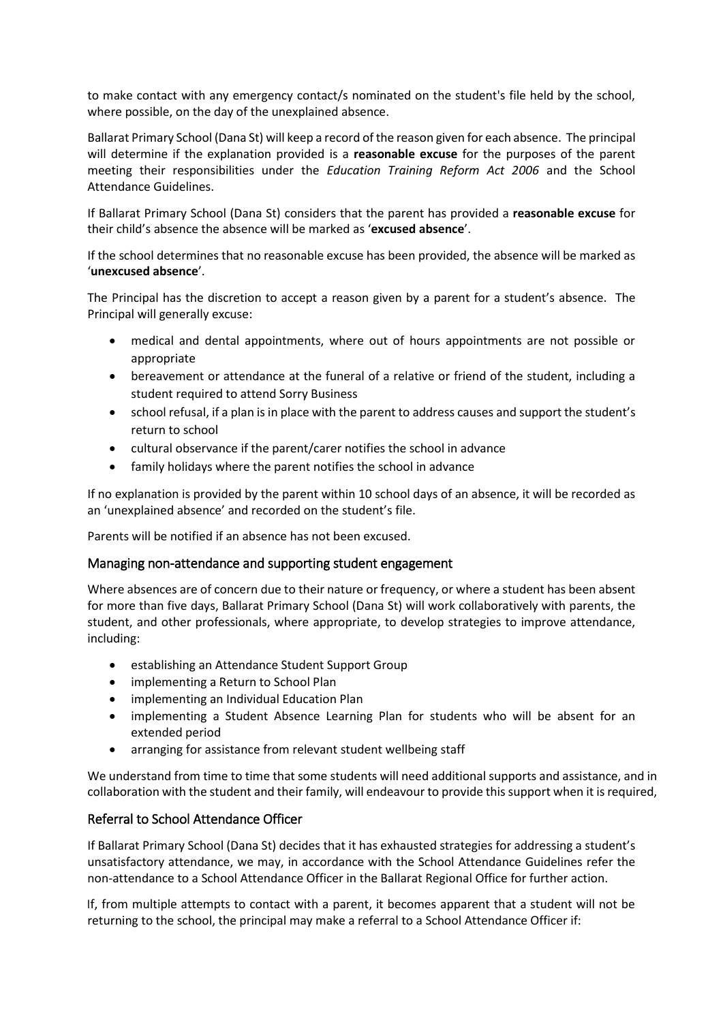to make contact with any emergency contact/s nominated on the student's file held by the school, where possible, on the day of the unexplained absence.

Ballarat Primary School (Dana St) will keep a record of the reason given for each absence. The principal will determine if the explanation provided is a **reasonable excuse** for the purposes of the parent meeting their responsibilities under the *Education Training Reform Act 2006* and the School Attendance Guidelines.

If Ballarat Primary School (Dana St) considers that the parent has provided a **reasonable excuse** for their child's absence the absence will be marked as '**excused absence**'.

If the school determines that no reasonable excuse has been provided, the absence will be marked as '**unexcused absence**'.

The Principal has the discretion to accept a reason given by a parent for a student's absence. The Principal will generally excuse:

- medical and dental appointments, where out of hours appointments are not possible or appropriate
- bereavement or attendance at the funeral of a relative or friend of the student, including a student required to attend Sorry Business
- school refusal, if a plan is in place with the parent to address causes and support the student's return to school
- cultural observance if the parent/carer notifies the school in advance
- family holidays where the parent notifies the school in advance

If no explanation is provided by the parent within 10 school days of an absence, it will be recorded as an 'unexplained absence' and recorded on the student's file.

Parents will be notified if an absence has not been excused.

## Managing non-attendance and supporting student engagement

Where absences are of concern due to their nature or frequency, or where a student has been absent for more than five days, Ballarat Primary School (Dana St) will work collaboratively with parents, the student, and other professionals, where appropriate, to develop strategies to improve attendance, including:

- establishing an Attendance Student Support Group
- implementing a Return to School Plan
- implementing an Individual Education Plan
- implementing a Student Absence Learning Plan for students who will be absent for an extended period
- arranging for assistance from relevant student wellbeing staff

We understand from time to time that some students will need additional supports and assistance, and in collaboration with the student and their family, will endeavour to provide this support when it is required,

## Referral to School Attendance Officer

If Ballarat Primary School (Dana St) decides that it has exhausted strategies for addressing a student's unsatisfactory attendance, we may, in accordance with the School Attendance Guidelines refer the non-attendance to a School Attendance Officer in the Ballarat Regional Office for further action.

If, from multiple attempts to contact with a parent, it becomes apparent that a student will not be returning to the school, the principal may make a referral to a School Attendance Officer if: